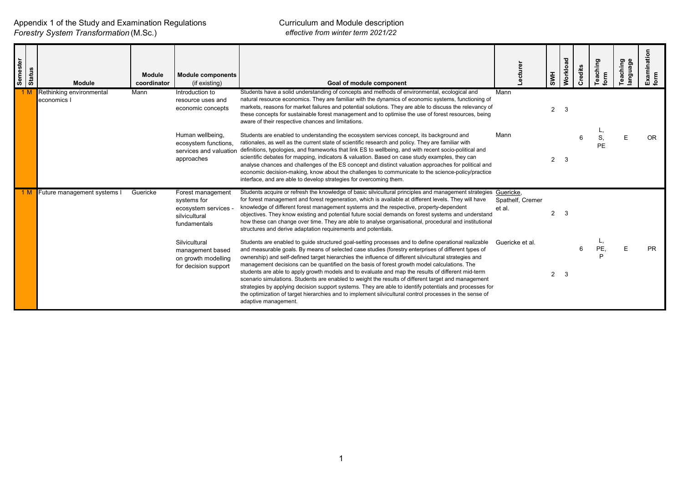| Semester<br><b>Status</b> | <b>Module</b>                           | <b>Module</b><br>coordinator | <b>Module components</b><br>(if existing)                                               | Goal of module component                                                                                                                                                                                                                                                                                                                                                                                                                                                                                                                                                                                                                                                                                                                                                                                                                                                         | ecture                                  | <b>SWH</b>     | Workload | Credits | eaching<br>Ë | Teaching<br>language | ⊆<br>Examination<br>form |
|---------------------------|-----------------------------------------|------------------------------|-----------------------------------------------------------------------------------------|----------------------------------------------------------------------------------------------------------------------------------------------------------------------------------------------------------------------------------------------------------------------------------------------------------------------------------------------------------------------------------------------------------------------------------------------------------------------------------------------------------------------------------------------------------------------------------------------------------------------------------------------------------------------------------------------------------------------------------------------------------------------------------------------------------------------------------------------------------------------------------|-----------------------------------------|----------------|----------|---------|--------------|----------------------|--------------------------|
|                           | Rethinking environmental<br>economics I | Mann                         | Introduction to<br>resource uses and<br>economic concepts                               | Students have a solid understanding of concepts and methods of environmental, ecological and<br>natural resource economics. They are familiar with the dynamics of economic systems, functioning of<br>markets, reasons for market failures and potential solutions. They are able to discuss the relevancy of<br>these concepts for sustainable forest management and to optimise the use of forest resources, being<br>aware of their respective chances and limitations.                                                                                                                                                                                                                                                                                                                                                                                                      | Mann                                    | $\overline{2}$ | 3        |         |              |                      |                          |
|                           |                                         |                              | Human wellbeing,<br>ecosystem functions.<br>services and valuation<br>approaches        | Students are enabled to understanding the ecosystem services concept, its background and<br>rationales, as well as the current state of scientific research and policy. They are familiar with<br>definitions, typologies, and frameworks that link ES to wellbeing, and with recent socio-political and<br>scientific debates for mapping, indicators & valuation. Based on case study examples, they can<br>analyse chances and challenges of the ES concept and distinct valuation approaches for political and<br>economic decision-making, know about the challenges to communicate to the science-policy/practice<br>interface, and are able to develop strategies for overcoming them.                                                                                                                                                                                    | Mann                                    | $\overline{2}$ | -3       |         | PE           |                      | OR.                      |
|                           | Future management systems I             | Guericke                     | Forest management<br>systems for<br>ecosystem services<br>silvicultural<br>fundamentals | Students acquire or refresh the knowledge of basic silvicultural principles and management strategies<br>for forest management and forest regeneration, which is available at different levels. They will have<br>knowledge of different forest management systems and the respective, property-dependent<br>objectives. They know existing and potential future social demands on forest systems and understand<br>how these can change over time. They are able to analyse organisational, procedural and institutional<br>structures and derive adaptation requirements and potentials.                                                                                                                                                                                                                                                                                       | Guericke,<br>Spathelf, Cremer<br>et al. | $\overline{2}$ | 3        |         |              |                      |                          |
|                           |                                         |                              | Silvicultural<br>management based<br>on growth modelling<br>for decision support        | Students are enabled to guide structured goal-setting processes and to define operational realizable<br>and measurable goals. By means of selected case studies (forestry enterprises of different types of<br>ownership) and self-defined target hierarchies the influence of different silvicultural strategies and<br>management decisions can be quantified on the basis of forest growth model calculations. The<br>students are able to apply growth models and to evaluate and map the results of different mid-term<br>scenario simulations. Students are enabled to weight the results of different target and management<br>strategies by applying decision support systems. They are able to identify potentials and processes for<br>the optimization of target hierarchies and to implement silvicultural control processes in the sense of<br>adaptive management. | Guericke et al.                         | $\overline{2}$ | -3       |         | <b>PE</b>    |                      | PR                       |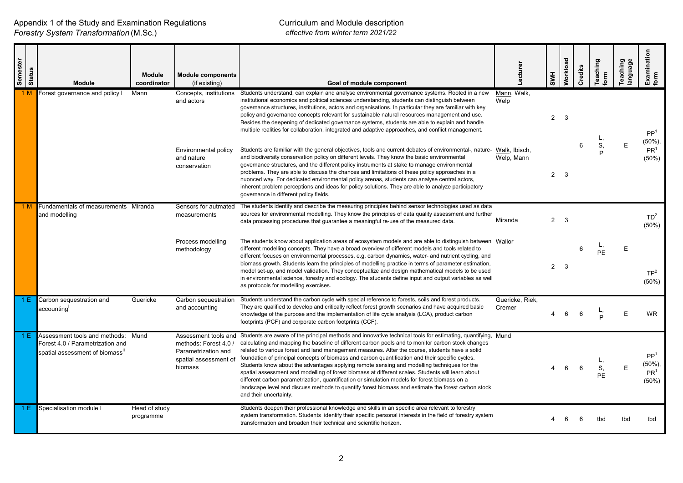Appendix 1 of the Study and Examination Regulations *Forestry System Transformation* (M.Sc.)

| Semester | <b>Status</b><br><b>Module</b>                                                                      | <b>Module</b><br>coordinator | <b>Module components</b><br>(if existing)                                                                | Goal of module component                                                                                                                                                                                                                                                                                                                                                                                                                                                                                                                                                                                                                                                                                                                                                                                                                                        | Lecturer                  | <b>SWH</b>  | Workload | Credits | Teaching<br>iorm | Teaching<br>language | Examination<br>form                                        |
|----------|-----------------------------------------------------------------------------------------------------|------------------------------|----------------------------------------------------------------------------------------------------------|-----------------------------------------------------------------------------------------------------------------------------------------------------------------------------------------------------------------------------------------------------------------------------------------------------------------------------------------------------------------------------------------------------------------------------------------------------------------------------------------------------------------------------------------------------------------------------------------------------------------------------------------------------------------------------------------------------------------------------------------------------------------------------------------------------------------------------------------------------------------|---------------------------|-------------|----------|---------|------------------|----------------------|------------------------------------------------------------|
| 1 M      | Forest governance and policy I                                                                      | Mann                         | and actors                                                                                               | Concepts, institutions Students understand, can explain and analyse environmental governance systems. Rooted in a new<br>institutional economics and political sciences understanding, students can distinguish between<br>governance structures, institutions, actors and organisations. In particular they are familiar with key<br>policy and governance concepts relevant for sustainable natural resources management and use.<br>Besides the deepening of dedicated governance systems, students are able to explain and handle<br>multiple realities for collaboration, integrated and adaptive approaches, and conflict management.                                                                                                                                                                                                                     | Mann, Walk,<br>Welp       | $2^{\circ}$ | 3        |         |                  |                      | PP <sup>1</sup><br>$(50\%)$                                |
|          |                                                                                                     |                              | Environmental policy<br>and nature<br>conservation                                                       | Students are familiar with the general objectives, tools and current debates of environmental-, nature- Walk, Ibisch,<br>and biodiversity conservation policy on different levels. They know the basic environmental<br>governance structures, and the different policy instruments at stake to manage environmental<br>problems. They are able to discuss the chances and limitations of these policy approaches in a<br>nuonced way. For dedicated environmental policy arenas, students can analyse central actors,<br>inherent problem perceptions and ideas for policy solutions. They are able to analyze participatory<br>governance in different policy fields.                                                                                                                                                                                         | Welp, Mann                | $2^{\circ}$ | -3       | 6       | S,               | E                    | PR <sup>1</sup><br>$(50\%)$                                |
|          | Fundamentals of measurements Miranda<br>and modelling                                               |                              | Sensors for autmated<br>measurements                                                                     | The students identify and describe the measuring principles behind sensor technologies used as data<br>sources for environmental modelling. They know the principles of data quality assessment and further<br>data processing procedures that guarantee a meaningful re-use of the measured data.                                                                                                                                                                                                                                                                                                                                                                                                                                                                                                                                                              | Miranda                   | $2^{\circ}$ | -3       |         |                  |                      | TD <sup>2</sup><br>(50%)                                   |
|          |                                                                                                     |                              | Process modelling<br>methodology                                                                         | The students know about application areas of ecosystem models and are able to distinguish between Wallor<br>different modelling concepts. They have a broad overview of different models and tools related to<br>different focuses on environmental processes, e.g. carbon dynamics, water- and nutrient cycling, and<br>biomass growth. Students learn the principles of modelling practice in terms of parameter estimation,<br>model set-up, and model validation. They conceptualize and design mathematical models to be used<br>in environmental science, forestry and ecology. The students define input and output variables as well<br>as protocols for modelling exercises.                                                                                                                                                                           |                           | $2^{\circ}$ | -3       | 6       | PE               | Е                    | TP <sup>2</sup><br>$(50\%)$                                |
|          | Carbon sequestration and<br>accounting <sup>'</sup>                                                 | Guericke                     | Carbon sequestration<br>and accounting                                                                   | Students understand the carbon cycle with special reference to forests, soils and forest products.<br>They are qualified to develop and critically reflect forest growth scenarios and have acquired basic<br>knowledge of the purpose and the implementation of life cycle analysis (LCA), product carbon<br>footprints (PCF) and corporate carbon footprints (CCF).                                                                                                                                                                                                                                                                                                                                                                                                                                                                                           | Guericke, Riek,<br>Cremer |             | 6        | 6       |                  | E                    | <b>WR</b>                                                  |
| 1 E.     | Assessment tools and methods:<br>Forest 4.0 / Parametrization and<br>spatial assessment of biomass" | Mund                         | Assessment tools and<br>methods: Forest 4.0 /<br>Parametrization and<br>spatial assessment of<br>biomass | Students are aware of the principal methods and innovative technical tools for estimating, quantifying, Mund<br>calculating and mapping the baseline of different carbon pools and to monitor carbon stock changes<br>related to various forest and land management measures. After the course, students have a solid<br>foundation of principal concepts of biomass and carbon quantification and their specific cycles.<br>Students know about the advantages applying remote sensing and modelling techniques for the<br>spatial assessment and modelling of forest biomass at different scales. Students will learn about<br>different carbon parametrization, quantification or simulation models for forest biomass on a<br>landscape level and discuss methods to quantify forest biomass and estimate the forest carbon stock<br>and their uncertainty. |                           | 4           | 6        | 6       | S,<br><b>PE</b>  | Е                    | PP <sup>1</sup><br>$(50\%)$<br>PR <sup>1</sup><br>$(50\%)$ |
| 1 E      | Specialisation module I                                                                             | Head of study<br>programme   |                                                                                                          | Students deepen their professional knowledge and skills in an specific area relevant to forestry<br>system transformation. Students identify their specific personal interests in the field of forestry system<br>transformation and broaden their technical and scientific horizon.                                                                                                                                                                                                                                                                                                                                                                                                                                                                                                                                                                            |                           |             |          |         | tbd              | tbd                  | tbd                                                        |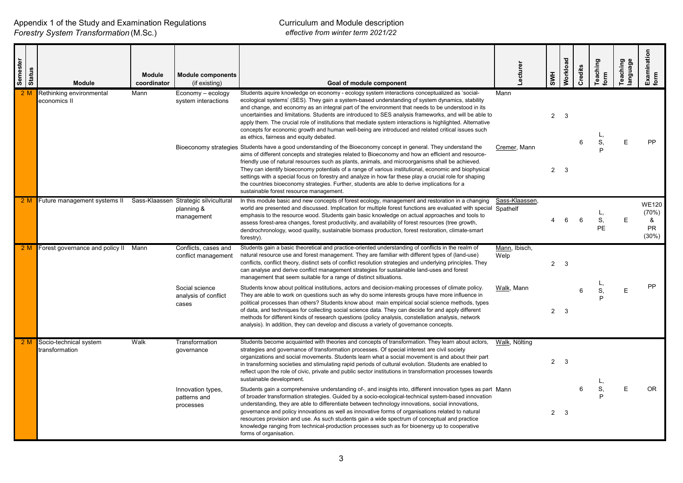| Semester<br><b>Status</b> | <b>Module</b>                            | Module<br>coordinator | <b>Module components</b><br>(if existing)                         | Goal of module component                                                                                                                                                                                                                                                                                                                                                                                                                                                                                                                                                                                                                                                                   | Lecturer              | <b>SWH</b>     | Workload     | Credits | Teaching<br>form      | Teaching<br>language | Examination<br>form                                 |
|---------------------------|------------------------------------------|-----------------------|-------------------------------------------------------------------|--------------------------------------------------------------------------------------------------------------------------------------------------------------------------------------------------------------------------------------------------------------------------------------------------------------------------------------------------------------------------------------------------------------------------------------------------------------------------------------------------------------------------------------------------------------------------------------------------------------------------------------------------------------------------------------------|-----------------------|----------------|--------------|---------|-----------------------|----------------------|-----------------------------------------------------|
|                           | Rethinking environmental<br>economics II | Mann                  | Economy - ecology<br>system interactions                          | Students aquire knowledge on economy - ecology system interactions conceptualized as 'social-<br>ecological systems' (SES). They gain a system-based understanding of system dynamics, stability<br>and change, and economy as an integral part of the environment that needs to be understood in its<br>uncertainties and limitations. Students are introduced to SES analysis frameworks, and will be able to<br>apply them. The crucial role of institutions that mediate system interactions is highlighted. Alternative<br>concepts for economic growth and human well-being are introduced and related critical issues such<br>as ethics, fairness and equity debated.               | Mann                  | $\overline{2}$ | $\mathbf{3}$ | 6       | S,                    | E                    | PP                                                  |
|                           |                                          |                       |                                                                   | Bioeconomy strategies Students have a good understanding of the Bioeconomy concept in general. They understand the<br>aims of different concepts and strategies related to Bioeconomy and how an efficient and resource-<br>friendly use of natural resources such as plants, animals, and microorganisms shall be achieved.<br>They can identify bioeconomy potentials of a range of various institutional, economic and biophysical<br>settings with a special focus on forestry and analyze in how far these play a crucial role for shaping<br>the countries bioeconomy strategies. Further, students are able to derive implications for a<br>sustainable forest resource management. | Cremer, Mann          | $\overline{2}$ | - 3          |         |                       |                      |                                                     |
| 2 M                       | Future management systems II             |                       | Sass-Klaassen Strategic silvicultural<br>planning &<br>management | In this module basic and new concepts of forest ecology, management and restoration in a changing<br>world are presented and discussed. Implication for multiple forest functions are evaluated with special Spathelf<br>emphasis to the resource wood. Students gain basic knowledge on actual approaches and tools to<br>assess forest-area changes, forest productivity, and availability of forest resources (tree growth,<br>dendrochronology, wood quality, sustainable biomass production, forest restoration, climate-smart<br>forestry).                                                                                                                                          | Sass-Klaassen,        | 4              | 6            | 6       | L,<br>S,<br><b>PE</b> | Ε                    | <b>WE120</b><br>(70%)<br>&<br><b>PR</b><br>$(30\%)$ |
|                           | Forest governance and policy II          | Mann                  | Conflicts, cases and<br>conflict management                       | Students gain a basic theoretical and practice-oriented understanding of conflicts in the realm of<br>natural resource use and forest management. They are familiar with different types of (land-use)<br>conflicts, conflict theory, distinct sets of conflict resolution strategies and underlying principles. They<br>can analyse and derive conflict management strategies for sustainable land-uses and forest<br>management that seem suitable for a range of distinct sitiuations.                                                                                                                                                                                                  | Mann, Ibisch,<br>Welp | $\overline{2}$ | 3            |         |                       |                      |                                                     |
|                           |                                          |                       | Social science<br>analysis of conflict<br>cases                   | Students know about political institutions, actors and decision-making processes of climate policy.<br>They are able to work on questions such as why do some interests groups have more influence in<br>political processes than others? Students know about main empirical social science methods, types<br>of data, and techniques for collecting social science data. They can decide for and apply different<br>methods for different kinds of research questions (policy analysis, constellation analysis, network<br>analysis). In addition, they can develop and discuss a variety of governance concepts.                                                                         | Walk, Mann            |                | $2 \quad 3$  | 6       | S,                    | E                    | PP                                                  |
|                           | Socio-technical system<br>transformation | Walk                  | Transformation<br>governance                                      | Students become acquainted with theories and concepts of transformation. They learn about actors,<br>strategies and governance of transformation processes. Of special interest are civil society<br>organizations and social movements. Students learn what a social movement is and about their part<br>in transforming societies and stimulating rapid periods of cultural evolution. Students are enabled to<br>reflect upon the role of civic, private and public sector institutions in transformation processes towards<br>sustainable development.                                                                                                                                 | Walk, Nölting         | $\overline{2}$ | $\mathbf{3}$ |         |                       |                      |                                                     |
|                           |                                          |                       | Innovation types,<br>patterns and<br>processes                    | Students gain a comprehensive understanding of-, and insights into, different innovation types as part Mann<br>of broader transformation strategies. Guided by a socio-ecological-technical system-based innovation<br>understanding, they are able to differentiate between technology innovations, social innovations,<br>governance and policy innovations as well as innovative forms of organisations related to natural<br>resources provision and use. As such students gain a wide spectrum of conceptual and practice<br>knowledge ranging from technical-production processes such as for bioenergy up to cooperative<br>forms of organisation.                                  |                       | $2^{\circ}$    | $\mathbf{3}$ | 6       | S,                    | E                    | OR.                                                 |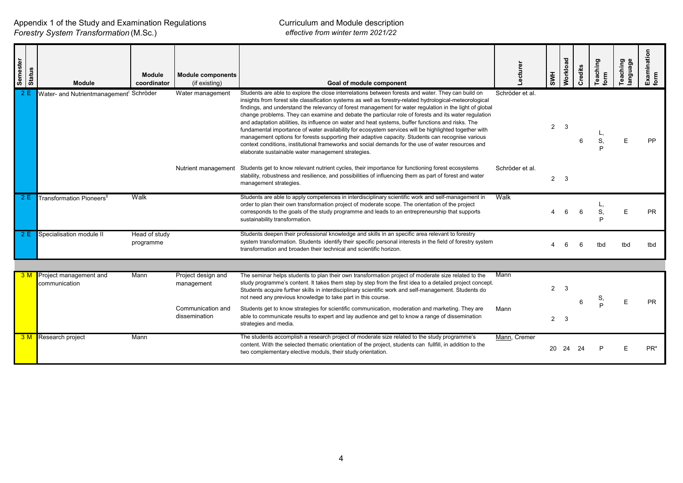| Semester | Status<br>Module                                    | <b>Module</b><br>coordinator | <b>Module components</b><br>(if existing)             | Goal of module component                                                                                                                                                                                                                                                                                                                                                                                                                                                                                                                                                                                                                                                                                                                                                                                                                                                                                          | -ecturer        | <b>HMS</b>     | Workload | Credits | Teaching | Teaching<br>anguage | Examination<br>form |
|----------|-----------------------------------------------------|------------------------------|-------------------------------------------------------|-------------------------------------------------------------------------------------------------------------------------------------------------------------------------------------------------------------------------------------------------------------------------------------------------------------------------------------------------------------------------------------------------------------------------------------------------------------------------------------------------------------------------------------------------------------------------------------------------------------------------------------------------------------------------------------------------------------------------------------------------------------------------------------------------------------------------------------------------------------------------------------------------------------------|-----------------|----------------|----------|---------|----------|---------------------|---------------------|
|          | Water- and Nutrientmanagement <sup>1</sup> Schröder |                              | Water management                                      | Students are able to explore the close interrelations between forests and water. They can build on<br>insights from forest site classification systems as well as forestry-related hydrological-meteorological<br>findings, and understand the relevancy of forest management for water regulation in the light of global<br>change problems. They can examine and debate the particular role of forests and its water regulation<br>and adaptation abilities, its influence on water and heat systems, buffer functions and risks. The<br>fundamental importance of water availability for ecosystem services will be highlighted together with<br>management options for forests supporting their adaptive capacity. Students can recognise various<br>context conditions, institutional frameworks and social demands for the use of water resources and<br>elaborate sustainable water management strategies. | Schröder et al. | $\overline{2}$ | 3        | 6       | S        | F                   | PP                  |
|          |                                                     |                              | Nutrient management                                   | Students get to know relevant nutrient cycles, their importance for functioning forest ecosystems<br>stability, robustness and resilience, and possibilities of influencing them as part of forest and water<br>management strategies.                                                                                                                                                                                                                                                                                                                                                                                                                                                                                                                                                                                                                                                                            | Schröder et al. | $\overline{2}$ | 3        |         |          |                     |                     |
| 2E       | Transformation Pioneers <sup>l</sup>                | Walk                         |                                                       | Students are able to apply competences in interdisciplinary scientific work and self-management in<br>order to plan their own transformation project of moderate scope. The orientation of the project<br>corresponds to the goals of the study programme and leads to an entrepreneurship that supports<br>sustainability transformation.                                                                                                                                                                                                                                                                                                                                                                                                                                                                                                                                                                        | Walk            |                | 6        | 6       |          |                     | <b>PR</b>           |
| 2E       | Specialisation module II                            | Head of study<br>programme   |                                                       | Students deepen their professional knowledge and skills in an specific area relevant to forestry<br>system transformation. Students identify their specific personal interests in the field of forestry system<br>transformation and broaden their technical and scientific horizon.                                                                                                                                                                                                                                                                                                                                                                                                                                                                                                                                                                                                                              |                 |                |          | 6       | tbd      | tbd                 | tbd                 |
|          |                                                     |                              |                                                       |                                                                                                                                                                                                                                                                                                                                                                                                                                                                                                                                                                                                                                                                                                                                                                                                                                                                                                                   |                 |                |          |         |          |                     |                     |
| 3M       | Project management and<br>communication             | Mann                         | Project design and<br>management<br>Communication and | The seminar helps students to plan their own transformation project of moderate size related to the<br>study programme's content. It takes them step by step from the first idea to a detailed project concept.<br>Students acquire further skills in interdisciplinary scientific work and self-management. Students do<br>not need any previous knowledge to take part in this course.<br>Students get to know strategies for scientific communication, moderation and marketing. They are                                                                                                                                                                                                                                                                                                                                                                                                                      | Mann<br>Mann    | $\overline{2}$ | 3        |         | s        | F                   | <b>PR</b>           |
|          |                                                     |                              | dissemination                                         | able to communicate results to expert and lay audience and get to know a range of dissemination<br>strategies and media.                                                                                                                                                                                                                                                                                                                                                                                                                                                                                                                                                                                                                                                                                                                                                                                          |                 | $\overline{2}$ | 3        |         |          |                     |                     |
| 3M       | <b>Research project</b>                             | Mann                         |                                                       | The students accomplish a research project of moderate size related to the study programme's<br>content. With the selected thematic orientation of the project, students can fullfill, in addition to the<br>two complementary elective moduls, their study orientation.                                                                                                                                                                                                                                                                                                                                                                                                                                                                                                                                                                                                                                          | Mann, Cremer    | 20             | 24       | 24      |          |                     | PR <sup>*</sup>     |